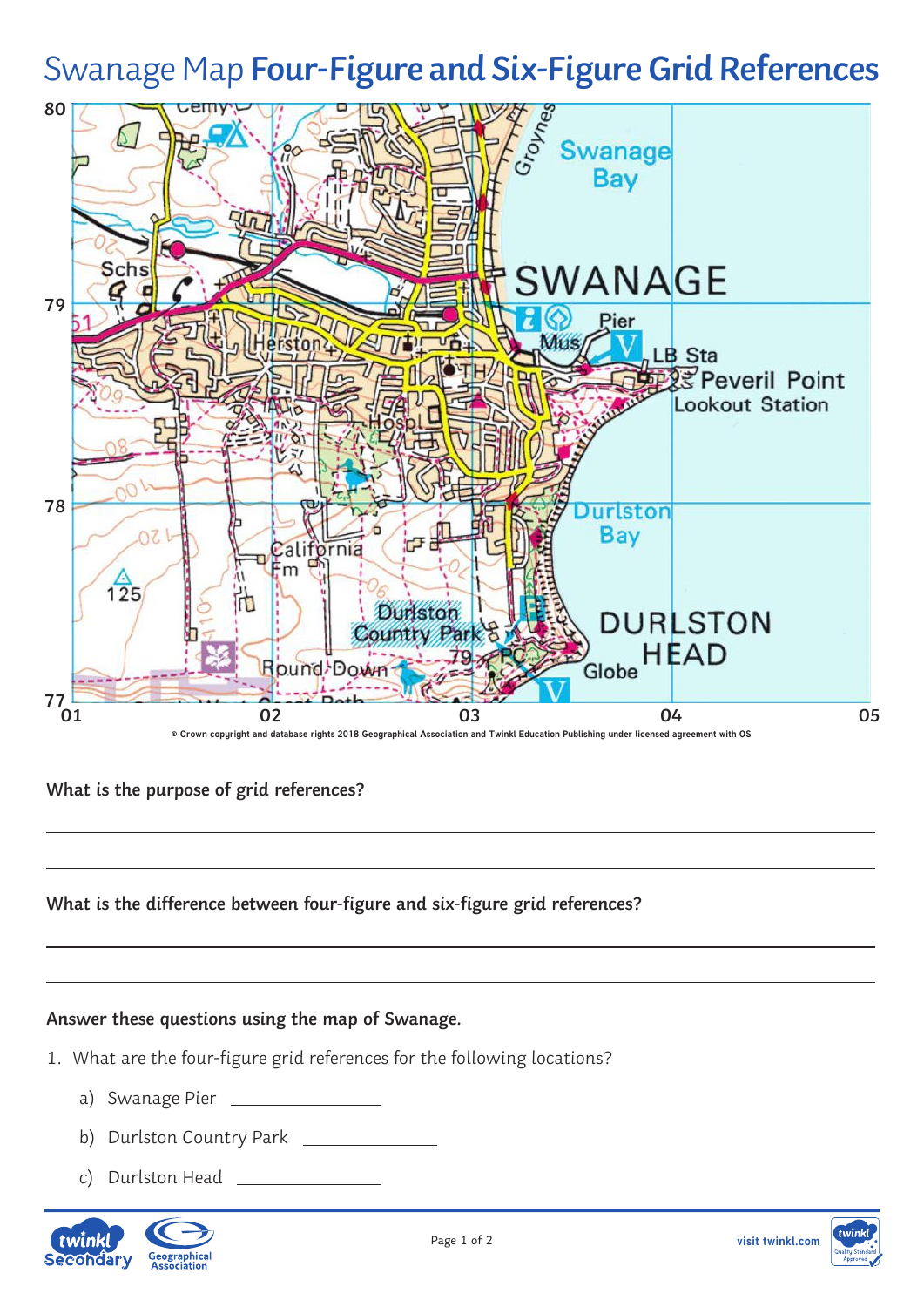# Swanage Map **Four-Figure and Six-Figure Grid References**



## **What is the purpose of grid references?**

#### **What is the difference between four-figure and six-figure grid references?**

#### **Answer these questions using the map of Swanage.**

- 1. What are the four-figure grid references for the following locations?
	- a) Swanage Pier
	- b) Durlston Country Park \_\_\_\_\_\_\_\_\_\_\_\_\_\_\_
	- c) Durlston Head

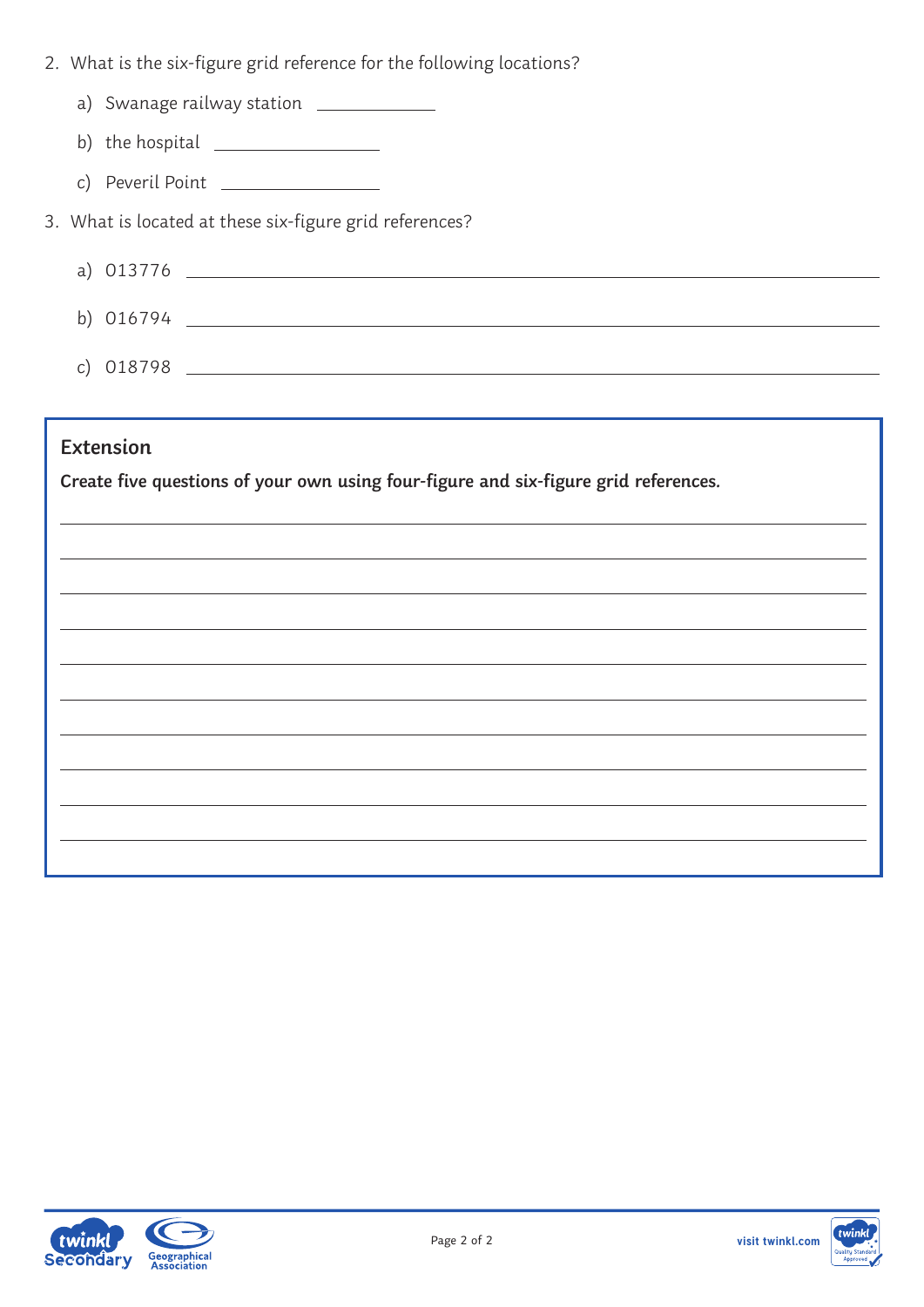- 2. What is the six-figure grid reference for the following locations?
	- a) Swanage railway station \_\_\_\_\_\_\_\_\_\_\_\_
	- b) the hospital  $\frac{1}{2}$  h  $\frac{1}{2}$  h  $\frac{1}{2}$  h  $\frac{1}{2}$  h  $\frac{1}{2}$  h  $\frac{1}{2}$  h  $\frac{1}{2}$  h  $\frac{1}{2}$  h  $\frac{1}{2}$  h  $\frac{1}{2}$  h  $\frac{1}{2}$  h  $\frac{1}{2}$  h  $\frac{1}{2}$  h  $\frac{1}{2}$  h  $\frac{1}{2}$  h  $\frac{1}{2}$  h  $\frac{1}{2}$  h
	- c) Peveril Point

3. What is located at these six-figure grid references?

| a) 013776 |  |
|-----------|--|
| b) 016794 |  |
| c) 018798 |  |

### **Extension**

**Create five questions of your own using four-figure and six-figure grid references.**